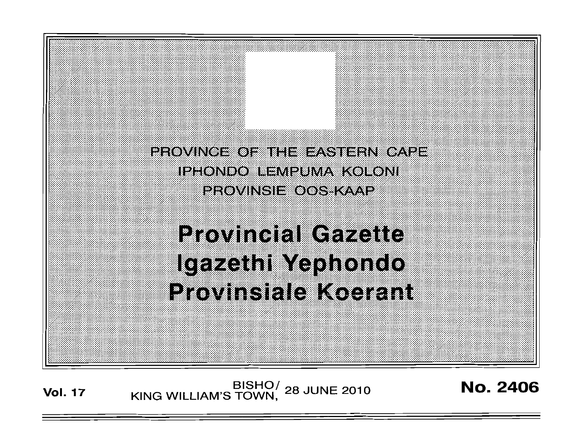

**Vol. 17 KING WILLIAM'S TOWN, 28 JUNE 2010 No. 2406**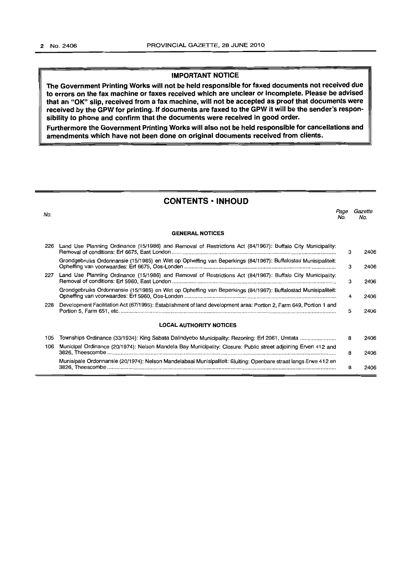### **IMPORTANT NOTICE**

**The Government Printing Works will not be held responsible for faxed documents not received due to errors on the fax machine or faxes received which are unclear or incomplete. Please be advised that an "OK" slip, received from a fax machine, will not be accepted as proof that documents were received by the GPW for printing. If documents are faxed to the GPW it will be the sender's responsibility to phone and confirm that the documents were received in good order.** 

**Furthermore the Government Printing Works will also not be held responsible for cancellations and amendments which have not been done on original documents received from clients.** 

# **CONTENTS • INHOUD**

| No. |                                                                                                                    | Page<br>No. | Gazette<br>No. |
|-----|--------------------------------------------------------------------------------------------------------------------|-------------|----------------|
|     | <b>GENERAL NOTICES</b>                                                                                             |             |                |
| 226 | Land Use Planning Ordinance (15/1986) and Removal of Restrictions Act (84/1967): Buffalo City Municipality:        | 3           | 2406           |
|     | Grondgebruiks Ordonnansie (15/1985) en Wet op Opheffing van Beperkings (84/1967): Buffalostad Munisipaliteit:      | 3           | 2406           |
| 227 | Land Use Planning Ordinance (15/1986) and Removal of Restrictions Act (84/1967): Buffalo City Municipality:        | 3           | 2406           |
|     | Grondgebruiks Ordonnansie (15/1985) en Wet op Opheffing van Beperkings (84/1967): Buffalostad Munisipaliteit:      | 4           | 2406           |
| 228 | Development Facilitation Act (67/1995): Establishment of land development area: Portion 2, Farm 649, Portion 1 and | 5           | 2406           |
|     | <b>LOCAL AUTHORITY NOTICES</b>                                                                                     |             |                |
| 105 | Townships Ordinance (33/1934): King Sabata Dalindyebo Municipality: Rezoning: Erf 2061, Umtata                     | 8           | 2406           |
| 106 | Municipal Ordinance (20/1974): Nelson Mandela Bay Municipality: Closure: Public street adjoining Erven 412 and     | 8           | 2406           |
|     | Munisipale Ordonnansie (20/1974): Nelson Mandelabaai Munisipaliteit: Sluiting: Openbare straat langs Erwe 412 en   | 8           | 2406           |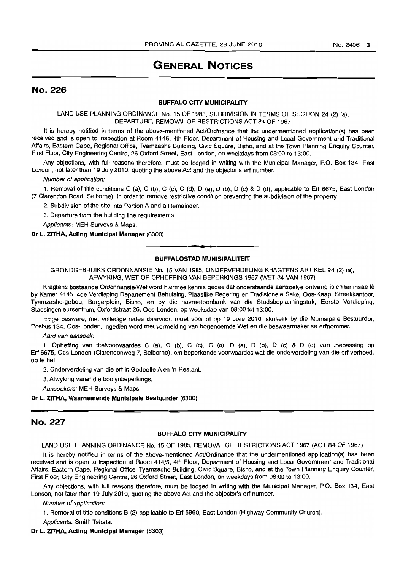# GENERAL NOTICES

### No. 226

#### BUFFALO CITY MUNICIPALITY

#### LAND USE PLANNING ORDINANCE No. 15 OF 1985, SUBDIVISION IN TERMS OF SECTION 24 (2) (a), DEPARTURE, REMOVAL OF RESTRICTiONS ACT 84 OF 1967

It is hereby notified in terms of the above-mentioned AcVOrdinance that the undermentioned application(s) has been received and is open to inspection at Room 4145, 4th Floor, Department of Housing and Local Government and Traditional Affairs, Eastern Cape, Regional Office, Tyamzashe Building, Civic Square, Bisho, and at the Town Planning Enquiry Counter, First Floor, City Engineering Centre, 26 Oxford Street, East London, on weekdays from 08:00 to 13:00.

Any objections, with full reasons therefore, must be lodged in writing with the Municipal Manager, P.O. Box 134, East London, not later than 19 July 2010, quoting the above Act and the objector's ert number.

Number of application:

1. Removal of title conditions C (a), C (b), C (c), C (d), D (a), D (b), D (c) & D (d), applicable to Erf 6675, East London (7 Clarendon Road, Selborne), in order to remove restrictive condition preventing the subdivision of the property.

2. Subdivision of the site into Portion A and a Remainder.

3. Departure from the building line requirements.

Applicants: MEH Surveys & Maps.

#### Dr L. ZITHA, Acting Municipal Manager (6300)

# n **• f**  BUFFALOSTAD MUNISIPALITEIT

GRONDGEBRUIKS ORDONNANSIE No. 15 VAN 1985, ONDERVERDELING KRAGTENS ARTIKEL 24 (2) (al, AFWYKING, WET OP OPHEFFING VAN BEPERKINGS 1967 (WET 84 VAN 1967)

Kragtens bostaande Ordonnansie/Wet word hiermee kennis gegee dat onderstaande aansoek/e ontvang is en ter insae Ie by Kamer 4145, 4de Verdieping Departement Behuising, Plaaslike Regering en Tradisionele Sake, Oos-Kaap, Streekkantoor, Tyamzashe-gebou, Burgerplein, Bisho, en by die navraetoonbank van die Stadsbeplanningstak, Eerste Verdieping, Stadsingenieursentrum, Oxfordstraat 26, Oos-Londen, op weeksdae van 08:00 tot 13:00.

Enige besware, met volledige redes daarvoor, moet voor of op 19 Julie 2010, skriftelik by die Munisipale Bestuurder, Posbus 134, Oos-Londen, ingedien word met vermelding van bogenoemde Wet en die beswaarmaker se erfnommer.

Aard van aansoek:

1. Opheffing van titelvoorwaardes C (a), C (b), C (c), C (d), D (a), D (b), D (c) & D (d) van toepassing op Ert 6675, Oos-Londen (Clarendonweg 7, Selborne), om beperkende voorwaardes wat die onderverdeling van die ert verhoed, op te het.

2. Onderverdeling van die ert in Gedeelte A en 'n Restant.

3. Afwyking vanaf die boulynbeperkings.

Aansoekers: MEH Surveys & Maps.

Dr L. ZITHA, Waarnemende Munisipale Bestuurder (6300)

## No. 227

#### BUFFALO CITY MUNICIPALITY

LAND USE PLANNING ORDINANCE No. 15 OF 1985, REMOVAL OF RESTRICTIONS ACT 1967 (ACT 84 OF 1967)

It is hereby notified in terms of the above-mentioned Act/Ordinance that the undermentioned application(s) has been received and is open to inspection at Room 414/5, 4th Floor, Department ot Housing and Local Government and Traditional Affairs, Eastern Cape, Regional Office, Tyamzashe Building, Civic Square, Bisho, and at the Town Planning Enquiry Counter, First Floor, City Engineering Centre, 26 Oxford Street, East London, on weekdays from 08:00 to 13:00.

Any objections, with full reasons therefore, must be lodged in writing with the Municipal Manager, PO. Box 134, East London, not later than 19 July 2010, quoting the above Act and the objector's ert number.

Number of application:

1. Removal of title conditions B (2) applicable to Ert 5960, East London (Highway Community Church).

Applicants: Smith Tabata.

Dr L. ZITHA, Acting Municipal Manager (6303)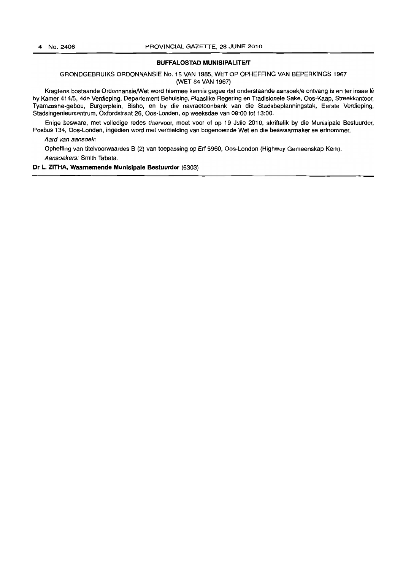#### **BUFFALOSTAD MUNISIPALITEIT**

GRONDGEBRUIKS ORDONNANSIE No. 15 VAN 1985, WET OP OPHEFFING VAN BEPERKINGS 1967 (WET 84 VAN 1967)

Kragtens bostaande Ordonnansie/Wet word hiermee kennis gegee dat onderstaande aansoek/e ontvang is en ter insae lê by Kamer 414/5, 4de Verdieping, Departement Behuising, Plaaslike Regering en Tradisionele Sake, Oos-Kaap, Streekkantoor, Tyamzashe-gebou, Burgerplein, Bisho, en by die navraetoonbank van die Stadsbeplanningstak, Eerste Verdieping, Stadsingenieursentrum, Oxfordstraat 26, Oos-Londen. op weeksdae van 08:00 tot 13:00.

Enige besware. met volledige redes daarvoor, moet voor of op 19 Julie 2010, skriftelik by die Munisipale Bestuurder, Posbus 134, Oos-Londen. ingedien word met vermelding van bogenoemde Wet en die beswaarmaker se erfnommer.

Aard van aansoek:

Opheffing van titelvoorwaardes B (2) van toepassing op Erf 5960, Oos-London (Highway Gemeenskap Kerk). Aansoekers: Smith Tabata.

#### **Dr L. ZITHA, Waarnemende Munisipale Bestuurder** (6303)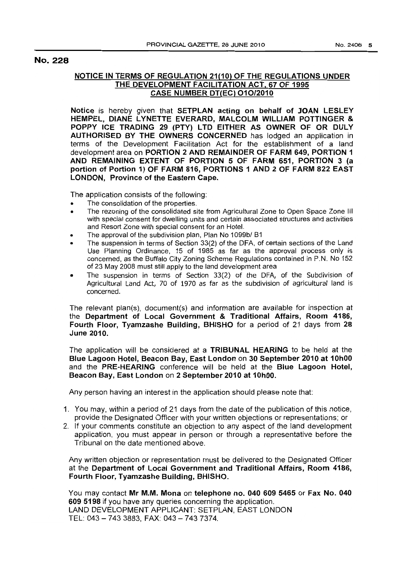## No. 228

## NOTICE IN TERMS OF REGULATION 21(10) OF THE REGULATIONS UNDER THE DEVELOPMENT FACILITATION ACT, 67 OF 1995 CASE NUMBER DT(EC) 010/2010

Notice is hereby given that SETPLAN acting on behalf of JOAN LESLEY HEMPEL, DIANE LYNETTE EVERARD, MALCOLM WILLIAM POTTINGER & POPPY ICE TRADING 29 (PTY) LTD EITHER AS OWNER OF OR DULY AUTHORISED BY THE OWNERS CONCERNED has lodged an application in terms of the Development Facilitation Act for the establishment of a land development area on PORTION 2 AND REMAINDER OF FARM 649, PORTION 1 AND REMAINING EXTENT OF PORTION 5 OF FARM 651, PORTION 3 (a portion of Portion 1) OF FARM 816, PORTIONS 1 AND 2 OF FARM 822 EAST LONDON, Province of the Eastern Cape.

The application consists of the following:

- The consolidation of the properties.
- The rezoning of the consolidated site from Agricultural Zone to Open Space Zone III with special consent for dwelling units and certain associated structures and activities and Resort Zone with special consent for an Hotel.
- The approval of the subdivision plan, Plan No 1099b/ B1
- The suspension in terms of Section 33(2) of the DFA, of certain sections of the Land Use Planning Ordinance, 15 of 1985 as far as the approval process only is concerned, as the Buffalo City Zoning Scheme Regulations contained in P.N. No 152 of 23 May 2008 must still apply to the land development area
- The suspension in terms of Section 33(2) of the DFA, of the Subdivision of Agricultural Land Act, 70 of 1970 as far as the subdivision of agricultural land is concerned.

The relevant plan(s), document(s) and information are available for inspection at the Department of Local Government & Traditional Affairs, Room 4186, Fourth Floor, Tyamzashe Building, BHISHO for a period of 21 days from 28 June 2010.

The application will be considered at a TRIBUNAL HEARING to be held at the Blue Lagoon Hotel, Beacon Bay, East London on 30 September 2010 at 10hOO and the PRE-HEARING conference will be held at the Blue Lagoon Hotel, Beacon Bay, East London on 2 September 2010 at 10hOO.

Any person having an interest in the application should please note that:

- 1. You may, within a period of 21 days from the date of the publication of this notice, provide the Designated Officer with your written objections or representations; or
- 2. If your comments constitute an objection to any aspect of the land development application, you must appear in person or through a representative before the Tribunal on the date mentioned above.

Any written objection or representation must be delivered to the Designated Officer at the Department of Local Government and Traditional Affairs, Room 4186, Fourth Floor, Tyamzashe Building, BHISHO.

You may contact Mr M.M. Mona on telephone no. 040 609 5465 or Fax No. 040 609 5198 if you have any queries concerning the application. LAND DEVELOPMENT APPLICANT: SETPLAN, EAST LONDON TEL: 043 - 7433883, FAX: 043 - 7437374.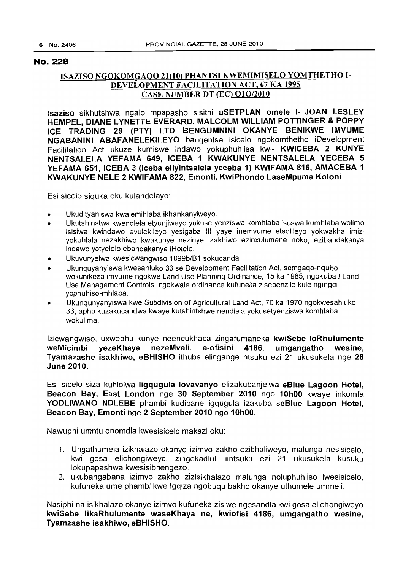# No. 228

# ISAZISO NGOKOMGAQO 21(10) PHANTSI KWEMIMISELO YOMTHETHO 1- DEVELOPMENT FACILITATION ACT, 67 KA 1995 CASE NUMBER DT (EC) 010/2010

Isaziso sikhutshwa ngalo mpapasho sisithi uSETPLAN omele 1- JOAN LESLEY HEMPEL, DIANE LYNETTE EVERARD, MALCOLM WILLIAM POTTINGER & POppy ICE TRADING 29 (PTY) LTD BENGUMNINI OKANYE BENIKWE IMVUME NGABANINI ABAFANELEKILEYO bangenise isicelo ngokomthetho iDevelopment Facilitation Act ukuze kumiswe indawo yokuphuhlisa kwi- KWICEBA 2 KUNYE NENTSALELA YEFAMA 649, ICEBA 1 KWAKUNYE NENTSALELA YECEBA 5 YEFAMA 651, ICEBA 3 (iceba eliyintsalela yeceba 1) KWIFAMA 816, AMACEBA 1 KWAKUNYE NELE 2 KWIFAMA 822, Emonti, KwiPhondo LaseMpuma Koloni.

Esi sicelo siquka oku kulandelayo:

- Ukudityaniswa kwalemihlaba ikhankanyiweyo.
- Ukutshinstwa kwendlela etyunjiweyo yokusetyenziswa komhlaba isuswa kumhlaba wolimo isisiwa kwindawo evulekileyo yesigaba III yaye inemvume etsolileyo yokwakha imizi yokuhlala nezakhiwo kwakunye nezinye izakhiwo ezinxulumene noko, ezibandakanya indawo yotyelelo ebandakanya iHotele.
- Ukuvunyelwa kwesicwangwiso 1099b/B1 sokucanda
- Ukunquyanyiswa kwesahluko 33 se Development Facilitation Act, somgaqo-nqubo wokunikeza imvume ngokwe Land Use Planning Ordinance, 15 ka 1985, ngokuba I-Land Use Management Controls, ngokwale ordinance kufuneka zisebenzile kule ngingqi yophuhiso-mhlaba.
- Ukunqunyanyiswa kwe Subdivision of Agricultural Land Act, 70 ka 1970 ngokwesahluko 33, apho kuzakucandwa kwaye kutshintshwe nendlela yokusetyenziswa komhlaba wokulima.

Izicwangwiso, uxwebhu kunye neencukhaca zingafumaneka kwiSebe loRhulumente weMicimbi yezeKhaya nezeMveli, e-ofisini 4186, umgangatho wesine, Tyamazashe isakhiwo, eBHISHO ithuba elingange ntsuku ezi 21 ukusukela nge 28 June 2010.

Esi sicelo siza kuhlolwa ligqugula lovavanyo elizakubanjelwa eBlue Lagoon Hotel, Beacon Bay, East London nge 30 September 2010 ngo 10hOO kwaye inkomfa YODLIWANO NDLEBE phambi kudibane igqugula izakuba seBlue Lagoon Hotel, Beacon Bay, Emonti nge 2 September 2010 ngo 10hOO.

Nawuphi umntu onomdla kwesisicelo makazi oku:

- 1. Ungathumela izikhalazo okanye izimvo zakho ezibhaliweyo, malunga nesisicelo, kwi gosa elichongiweyo, zingekadluli iintsuku ezi 21 ukusukela kusuku lokupapashwa kwesisibhengezo.
- 2. ukubangabana izimvo zakho zizisikhalazo malunga noluphuhliso Iwesisicelo, kufuneka ume phambi kwe Igqiza ngobuqu bakho okanye uthumele ummeli.

Nasiphi na isikhalazo okanye izimvo kufuneka zisiwe ngesandla kwi gosa elichongiweyo kwiSebe likaRhulumente waseKhaya ne, kwiofisi 4186, umgangatho wesine, Tyamzashe isakhiwo, eBHISHO.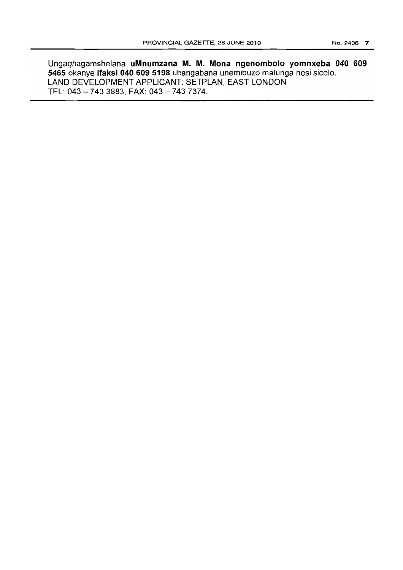Ungaqhagamshelana **uMnumzana** M. M. **Mona ngenombolo yomnxeba 040 609 5465** okanye **ifaksi 040 609 5198** ubangabana unemibuzo malunga nesi sicelo. LAND DEVELOPMENT APPLICANT: SETPLAN, EAST LONDON TEL: 043 - 743 3883, FAX: 043 - 743 7374.